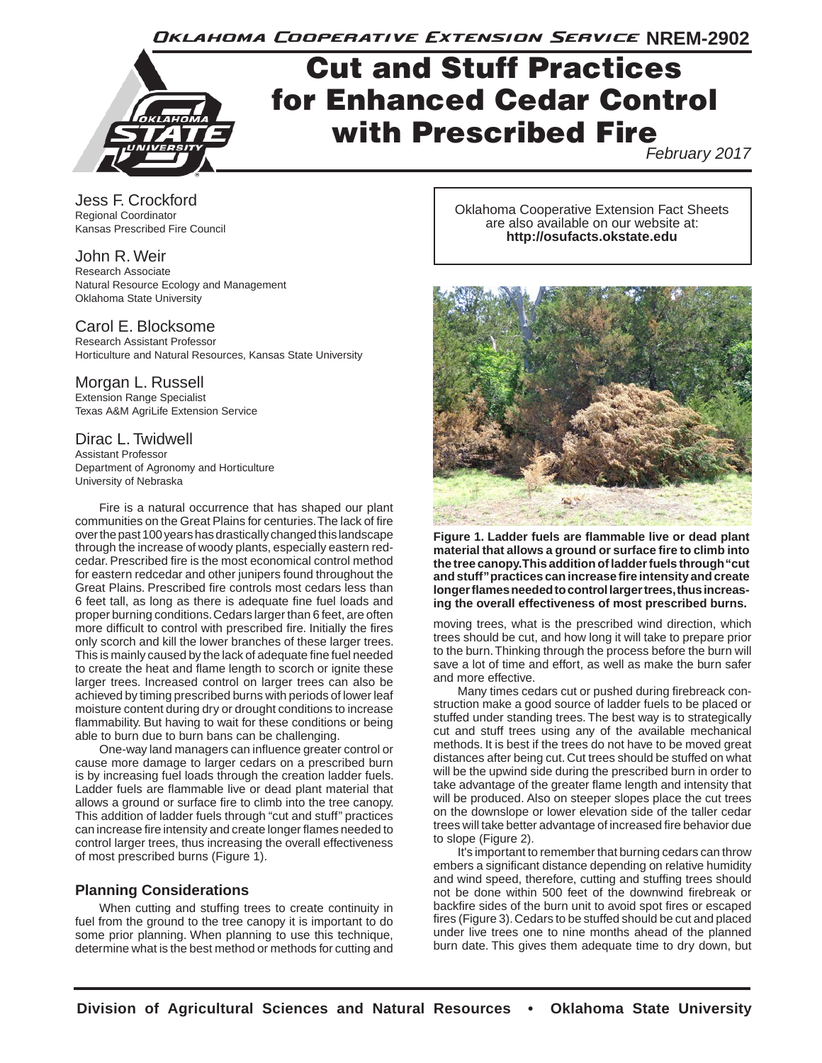Oklahoma Cooperative Extension Service NREM-2902



# Cut and Stuff Practices for Enhanced Cedar Control with Prescribed Fire

*February 2017*

Jess F. Crockford Regional Coordinator Kansas Prescribed Fire Council

#### John R. Weir

Research Associate Natural Resource Ecology and Management Oklahoma State University

# Carol E. Blocksome

Research Assistant Professor Horticulture and Natural Resources, Kansas State University

### Morgan L. Russell

Extension Range Specialist Texas A&M AgriLife Extension Service

# Dirac L. Twidwell

Assistant Professor Department of Agronomy and Horticulture University of Nebraska

Fire is a natural occurrence that has shaped our plant communities on the Great Plains for centuries. The lack of fire over the past 100 years has drastically changed this landscape through the increase of woody plants, especially eastern redcedar. Prescribed fire is the most economical control method for eastern redcedar and other junipers found throughout the Great Plains. Prescribed fire controls most cedars less than 6 feet tall, as long as there is adequate fine fuel loads and proper burning conditions. Cedars larger than 6 feet, are often more difficult to control with prescribed fire. Initially the fires only scorch and kill the lower branches of these larger trees. This is mainly caused by the lack of adequate fine fuel needed to create the heat and flame length to scorch or ignite these larger trees. Increased control on larger trees can also be achieved by timing prescribed burns with periods of lower leaf moisture content during dry or drought conditions to increase flammability. But having to wait for these conditions or being able to burn due to burn bans can be challenging.

One-way land managers can influence greater control or cause more damage to larger cedars on a prescribed burn is by increasing fuel loads through the creation ladder fuels. Ladder fuels are flammable live or dead plant material that allows a ground or surface fire to climb into the tree canopy. This addition of ladder fuels through "cut and stuff" practices can increase fire intensity and create longer flames needed to control larger trees, thus increasing the overall effectiveness of most prescribed burns (Figure 1).

#### **Planning Considerations**

When cutting and stuffing trees to create continuity in fuel from the ground to the tree canopy it is important to do some prior planning. When planning to use this technique, determine what is the best method or methods for cutting and

Oklahoma Cooperative Extension Fact Sheets are also available on our website at: **http://osufacts.okstate.edu**



**Figure 1. Ladder fuels are flammable live or dead plant material that allows a ground or surface fire to climb into the tree canopy. This addition of ladder fuels through "cut and stuff" practices can increase fire intensity and create longer flames needed to control larger trees, thus increasing the overall effectiveness of most prescribed burns.**

moving trees, what is the prescribed wind direction, which trees should be cut, and how long it will take to prepare prior to the burn. Thinking through the process before the burn will save a lot of time and effort, as well as make the burn safer and more effective.

Many times cedars cut or pushed during firebreack construction make a good source of ladder fuels to be placed or stuffed under standing trees. The best way is to strategically cut and stuff trees using any of the available mechanical methods. It is best if the trees do not have to be moved great distances after being cut. Cut trees should be stuffed on what will be the upwind side during the prescribed burn in order to take advantage of the greater flame length and intensity that will be produced. Also on steeper slopes place the cut trees on the downslope or lower elevation side of the taller cedar trees will take better advantage of increased fire behavior due to slope (Figure 2).

It's important to remember that burning cedars can throw embers a significant distance depending on relative humidity and wind speed, therefore, cutting and stuffing trees should not be done within 500 feet of the downwind firebreak or backfire sides of the burn unit to avoid spot fires or escaped fires (Figure 3). Cedars to be stuffed should be cut and placed under live trees one to nine months ahead of the planned burn date. This gives them adequate time to dry down, but